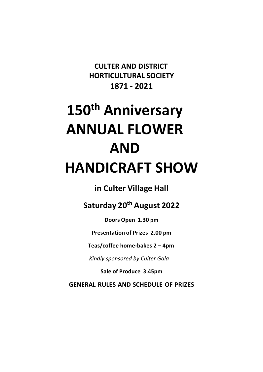**CULTER AND DISTRICT HORTICULTURAL SOCIETY 1871 - 2021**

# **150th Anniversary ANNUAL FLOWER AND HANDICRAFT SHOW**

**in Culter Village Hall**

**Saturday 20th August 2022**

**Doors Open 1.30 pm** 

**Presentation of Prizes 2.00 pm**

**Teas/coffee home-bakes 2 – 4pm**

 *Kindly sponsored by Culter Gala*

**Sale of Produce 3.45pm**

**GENERAL RULES AND SCHEDULE OF PRIZES**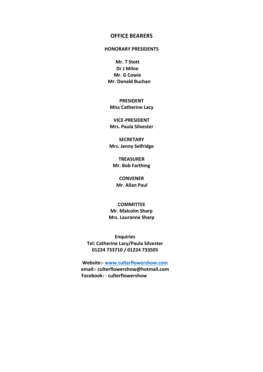#### **OFFICE BEARERS**

#### **HONORARY PRESIDENTS**

**Mr. T Stott Dr J Milne Mr. G Cowie Mr. Donald Buchan**

**PRESIDENT Miss Catherine Lacy** 

**VICE-PRESIDENT Mrs. Paula Silvester** 

**SECRETARY Mrs. Jenny Selfridge** 

**TREASURER Mr. Bob Farthing**

**CONVENER Mr. Allan Paul** 

**COMMITTEE Mr. Malcolm Sharp Mrs. Lauranne Sharp**

**Enquiries Tel: Catherine Lacy/Paula Silvester 01224 733710 / 01224 733505**

**Website:- www.culterflowershow.com email:- culterflowershow@hotmail.com Facebook: - culterflowershow**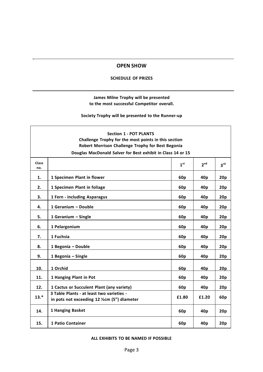#### **OPEN SHOW**

#### **SCHEDULE OF PRIZES**

#### **James Milne Trophy will be presented to the most successful Competitor overall.**

**Society Trophy will be presented to the Runner-up**

| <b>Section 1 - POT PLANTS</b><br>Challenge Trophy for the most points in this section<br>Robert Morrison Challenge Trophy for Best Begonia |                                                                                           |                 |                 |                 |
|--------------------------------------------------------------------------------------------------------------------------------------------|-------------------------------------------------------------------------------------------|-----------------|-----------------|-----------------|
|                                                                                                                                            | Douglas MacDonald Salver for Best exhibit in Class 14 or 15                               |                 |                 |                 |
| Class<br>no.                                                                                                                               |                                                                                           | 1 <sup>st</sup> | 2 <sup>nd</sup> | 3 <sup>rd</sup> |
| 1.                                                                                                                                         | 1 Specimen Plant in flower                                                                | 60p             | 40p             | 20p             |
| 2.                                                                                                                                         | 1 Specimen Plant in foliage                                                               | 60 <sub>p</sub> | 40p             | 20p             |
| 3.                                                                                                                                         | 1 Fern - including Asparagus                                                              | 60p             | 40 <sub>p</sub> | 20p             |
| 4.                                                                                                                                         | 1 Geranium - Double                                                                       | 60p             | 40 <sub>p</sub> | 20p             |
| 5.                                                                                                                                         | 1 Geranium - Single                                                                       | 60 <sub>p</sub> | 40 <sub>p</sub> | 20p             |
| 6.                                                                                                                                         | 1 Pelargonium                                                                             | 60 <sub>p</sub> | 40p             | 20p             |
| 7.                                                                                                                                         | 1 Fuchsia                                                                                 | 60 <sub>p</sub> | 40p             | 20p             |
| 8.                                                                                                                                         | 1 Begonia - Double                                                                        | 60p             | 40 <sub>p</sub> | 20p             |
| 9.                                                                                                                                         | 1 Begonia - Single                                                                        | 60 <sub>p</sub> | 40 <sub>p</sub> | 20p             |
| 10.                                                                                                                                        | 1 Orchid                                                                                  | 60 <sub>p</sub> | 40p             | 20p             |
| 11.                                                                                                                                        | 1 Hanging Plant in Pot                                                                    | 60p             | 40 <sub>p</sub> | 20p             |
| 12.                                                                                                                                        | 1 Cactus or Succulent Plant (any variety)                                                 | 60p             | 40 <sub>p</sub> | 20p             |
| $13.*$                                                                                                                                     | 3 Table Plants - at least two varieties -<br>in pots not exceeding 12 1/2cm (5") diameter | £1.80           | £1.20           | 60p             |
| 14.                                                                                                                                        | 1 Hanging Basket                                                                          | 60 <sub>p</sub> | 40p             | 20p             |
| 15.                                                                                                                                        | <b>1 Patio Container</b>                                                                  | 60p             | 40 <sub>p</sub> | 20p             |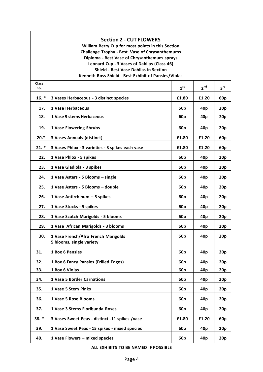#### **Section 2 - CUT FLOWERS**

**William Berry Cup for most points in this Section Challenge Trophy - Best Vase of Chrysanthemums Diploma - Best Vase of Chrysanthemum sprays Leonard Cup - 3 Vases of Dahlias (Class 46) Shield - Best Vase Dahlias in Section Kenneth Ross Shield - Best Exhibit of Pansies/Violas**

| Class<br>no. |                                                                 | 1 <sup>st</sup> | 2 <sup>nd</sup> | 3 <sup>rd</sup> |
|--------------|-----------------------------------------------------------------|-----------------|-----------------|-----------------|
| $16. *$      | 3 Vases Herbaceous - 3 distinct species                         | £1.80           | £1.20           | 60 <sub>p</sub> |
| 17.          | 1 Vase Herbaceous                                               | 60p             | 40 <sub>p</sub> | 20p             |
| 18.          | 1 Vase 9 stems Herbaceous                                       | 60p             | 40 <sub>p</sub> | 20p             |
| 19.          | <b>1 Vase Flowering Shrubs</b>                                  | 60 <sub>p</sub> | 40 <sub>p</sub> | 20p             |
| $20.*$       | <b>3 Vases Annuals (distinct)</b>                               | £1.80           | £1.20           | 60 <sub>p</sub> |
| $21. *$      | 3 Vases Phlox - 3 varieties - 3 spikes each vase                | £1.80           | £1.20           | 60 <sub>p</sub> |
| 22.          | 1 Vase Phlox - 5 spikes                                         | 60 <sub>p</sub> | 40p             | 20p             |
| 23.          | 1 Vase Gladiola - 3 spikes                                      | 60 <sub>p</sub> | 40 <sub>p</sub> | 20p             |
| 24.          | 1 Vase Asters - 5 Blooms - single                               | 60 <sub>p</sub> | 40p             | 20p             |
| 25.          | 1 Vase Asters - 5 Blooms - double                               | 60 <sub>p</sub> | 40p             | 20p             |
| 26.          | 1 Vase Antirrhinum - 5 spikes                                   | 60 <sub>p</sub> | 40 <sub>p</sub> | 20p             |
| 27.          | 1 Vase Stocks - 5 spikes                                        | 60 <sub>p</sub> | 40 <sub>p</sub> | 20p             |
| 28.          | 1 Vase Scotch Marigolds - 5 blooms                              | 60 <sub>p</sub> | 40 <sub>p</sub> | 20p             |
| 29.          | 1 Vase African Marigolds - 3 blooms                             | 60 <sub>p</sub> | 40p             | 20p             |
| 30.          | 1 Vase French/Afro French Marigolds<br>5 blooms, single variety | 60 <sub>p</sub> | 40p             | 20p             |
| 31.          | 1 Box 6 Pansies                                                 | 60 <sub>p</sub> | 40 <sub>p</sub> | 20p             |
| 32.          | 1 Box 6 Fancy Pansies (Frilled Edges)                           | 60 <sub>p</sub> | 40p             | 20p             |
| 33.          | 1 Box 6 Violas                                                  | 60 <sub>p</sub> | 40p             | 20p             |
| 34.          | <b>1 Vase 5 Border Carnations</b>                               | 60 <sub>p</sub> | 40p             | 20p             |
| 35.          | 1 Vase 5 Stem Pinks                                             | 60 <sub>p</sub> | 40p             | 20p             |
| 36.          | 1 Vase 5 Rose Blooms                                            | 60 <sub>p</sub> | 40 <sub>p</sub> | 20p             |
| 37.          | 1 Vase 3 Stems Floribunda Roses                                 | 60 <sub>p</sub> | 40p             | 20p             |
| $38. *$      | 3 Vases Sweet Peas - distinct -11 spikes /vase                  | £1.80           | £1.20           | 60 <sub>p</sub> |
| 39.          | 1 Vase Sweet Peas - 15 spikes - mixed species                   | 60 <sub>p</sub> | 40 <sub>p</sub> | 20p             |
| 40.          | 1 Vase Flowers - mixed species                                  | 60 <sub>p</sub> | 40 <sub>p</sub> | 20p             |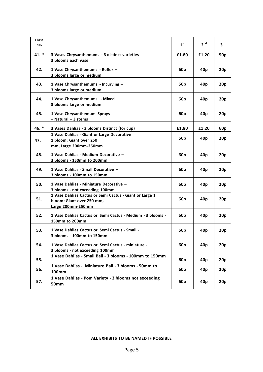| Class<br>no. |                                                                                                           | 1 <sup>st</sup> | 2 <sup>nd</sup> | 3 <sup>rd</sup> |
|--------------|-----------------------------------------------------------------------------------------------------------|-----------------|-----------------|-----------------|
| 41. *        | 3 Vases Chrysanthemums - 3 distinct varieties<br>3 blooms each vase                                       | £1.80           | £1.20           | 50p             |
| 42.          | 1 Vase Chrysanthemums - Reflex -<br>3 blooms large or medium                                              | 60 <sub>p</sub> | 40 <sub>p</sub> | 20p             |
| 43.          | 1 Vase Chrysanthemums - Incurving -<br>3 blooms large or medium                                           | 60 <sub>p</sub> | 40p             | 20p             |
| 44.          | 1 Vase Chrysanthemums - Mixed -<br>3 blooms large or medium                                               | 60 <sub>p</sub> | 40 <sub>p</sub> | 20p             |
| 45.          | 1 Vase Chrysanthemum Sprays<br>$-$ Natural $-$ 3 stems                                                    | 60 <sub>p</sub> | 40p             | 20p             |
| 46. *        | 3 Vases Dahlias - 3 blooms Distinct (for cup)                                                             | £1.80           | £1.20           | 60 <sub>p</sub> |
| 47.          | 1 Vase Dahlias - Giant or Large Decorative<br>1 bloom: Giant over 250<br>mm, Large 200mm-250mm            | 60 <sub>p</sub> | 40 <sub>p</sub> | 20p             |
| 48.          | 1 Vase Dahlias - Medium Decorative -<br>3 blooms - 150mm to 200mm                                         | 60 <sub>p</sub> | 40 <sub>p</sub> | 20p             |
| 49.          | 1 Vase Dahlias - Small Decorative -<br>3 blooms - 100mm to 150mm                                          | 60 <sub>p</sub> | 40 <sub>p</sub> | 20p             |
| 50.          | 1 Vase Dahlias - Miniature Decorative -<br>3 blooms - not exceeding 100mm                                 | 60 <sub>p</sub> | 40p             | 20p             |
| 51.          | 1 Vase Dahlias Cactus or Semi Cactus - Giant or Large 1<br>bloom: Giant over 250 mm,<br>Large 200mm-250mm | 60 <sub>p</sub> | 40p             | 20p             |
| 52.          | 1 Vase Dahlias Cactus or Semi Cactus - Medium - 3 blooms -<br>150mm to 200mm                              | 60 <sub>p</sub> | 40p             | 20p             |
| 53.          | 1 Vase Dahlias Cactus or Semi Cactus - Small -<br>3 blooms - 100mm to 150mm                               | 60 <sub>p</sub> | 40p             | 20p             |
| 54.          | 1 Vase Dahlias Cactus or Semi Cactus - miniature -<br>3 blooms - not exceeding 100mm                      | 60 <sub>p</sub> | 40 <sub>p</sub> | 20p             |
| 55.          | 1 Vase Dahlias - Small Ball - 3 blooms - 100mm to 150mm                                                   | 60 <sub>p</sub> | 40 <sub>p</sub> | 20p             |
| 56.          | 1 Vase Dahlias - Miniature Ball - 3 blooms - 50mm to<br>100mm                                             | 60 <sub>p</sub> | 40 <sub>p</sub> | 20p             |
| 57.          | 1 Vase Dahlias - Pom Variety - 3 blooms not exceeding<br><b>50mm</b>                                      | 60 <sub>p</sub> | 40 <sub>p</sub> | 20p             |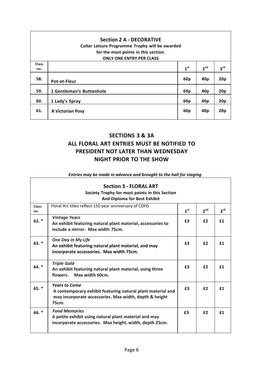| <b>Section 2 A - DECORATIVE</b><br><b>Culter Leisure Programme Trophy will be awarded</b><br>for the most points in this section.<br><b>ONLY ONE ENTRY PER CLASS</b> |                          |                 |                 |                 |
|----------------------------------------------------------------------------------------------------------------------------------------------------------------------|--------------------------|-----------------|-----------------|-----------------|
| <b>Class</b>                                                                                                                                                         |                          |                 |                 |                 |
| no.                                                                                                                                                                  |                          | 1 <sup>st</sup> | 2 <sup>nd</sup> | 3 <sup>rd</sup> |
| 58.                                                                                                                                                                  | <b>Pot-et-Fleur</b>      | 60 <sub>p</sub> | 40p             | 20p             |
| 59.                                                                                                                                                                  | 1 Gentleman's Buttonhole | 60 <sub>p</sub> | 40 <sub>p</sub> | 20p             |
| 60.                                                                                                                                                                  | 1 Lady's Spray           | 60 <sub>p</sub> | 40p             | 20p             |
| 61.                                                                                                                                                                  | A Victorian Posy         | 60 <sub>p</sub> | 40p             | 20p             |

# **SECTIONS 3 & 3A ALL FLORAL ART ENTRIES MUST BE NOTIFIED TO PRESIDENT NOT LATER THAN WEDNESDAY NIGHT PRIOR TO THE SHOW**

| Entries may be made in davance and prought to the hall for staging |                                                                                                                                                        |                 |                 |                 |
|--------------------------------------------------------------------|--------------------------------------------------------------------------------------------------------------------------------------------------------|-----------------|-----------------|-----------------|
|                                                                    | <b>Section 3 - FLORAL ART</b><br>Society Trophy for most points in this Section<br>And Diploma for Best Exhibit                                        |                 |                 |                 |
| <b>Class</b><br>no.                                                | Floral Art titles reflect 150 year anniversary of CDHS                                                                                                 | 1 <sup>st</sup> | 2 <sup>nd</sup> | $3^{\text{rd}}$ |
| $62.$ *                                                            | <b>Vintage Years</b><br>An exhibit featuring natural plant material, accessories to<br>include a mirror. Max width 75cm.                               | £3              | £2              | f1              |
| $63. *$                                                            | <b>One Day in My Life</b><br>An exhibit featuring natural plant material, and may<br>incorporate accessories. Max width 75cm.                          | £3              | £2              | £1              |
| $64.$ *                                                            | <b>Triple Gold</b><br>An exhibit featuring natural plant material, using three<br>Max width 60cm.<br>flowers.                                          | £3              | £2              | f1              |
| $65. *$                                                            | <b>Years to Come</b><br>A contemporary exhibit featuring natural plant material and<br>may incorporate accessories. Max width, depth & height<br>75cm. | £3              | £2              | f1              |
| $66.$ *                                                            | <b>Fond Memories</b><br>A petite exhibit using natural plant material and may<br>incorporate accessories. Max height, width, depth 25cm.               | £3              | f2              | f1              |

#### *Entries may be made in advance and brought to the hall for staging*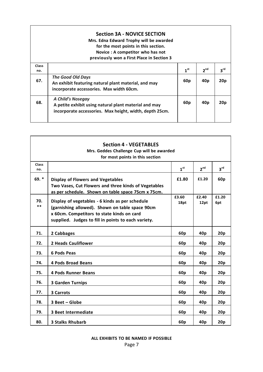|                     | <b>Section 3A - NOVICE SECTION</b><br>Mrs. Edna Edward Trophy will be awarded<br>for the most points in this section.<br>Novice: A competitor who has not<br>previously won a First Place in Section 3 |                 |                 |                 |
|---------------------|--------------------------------------------------------------------------------------------------------------------------------------------------------------------------------------------------------|-----------------|-----------------|-----------------|
| <b>Class</b><br>no. |                                                                                                                                                                                                        | 1 <sup>st</sup> | 2 <sup>nd</sup> | $3^{\text{rd}}$ |
| 67.                 | <b>The Good Old Days</b><br>An exhibit featuring natural plant material, and may<br>incorporate accessories. Max width 60cm.                                                                           | 60 <sub>p</sub> | 40 <sub>p</sub> | 20p             |
| 68.                 | <b>A Child's Nosegay</b><br>A petite exhibit using natural plant material and may<br>incorporate accessories. Max height, width, depth 25cm.                                                           | 60 <sub>p</sub> | 40p             | 20p             |

| <b>Section 4 - VEGETABLES</b><br>Mrs. Geddes Challenge Cup will be awarded |                                                                                                                                                                                                         |                 |                 |                 |
|----------------------------------------------------------------------------|---------------------------------------------------------------------------------------------------------------------------------------------------------------------------------------------------------|-----------------|-----------------|-----------------|
|                                                                            | for most points in this section                                                                                                                                                                         |                 |                 |                 |
| <b>Class</b><br>no.                                                        |                                                                                                                                                                                                         | 1 <sup>st</sup> | 2 <sup>nd</sup> | 3 <sup>rd</sup> |
| $69.$ *                                                                    | <b>Display of Flowers and Vegetables</b><br>Two Vases, Cut Flowers and three kinds of Vegetables<br>as per schedule. Shown on table space 75cm x 75cm.                                                  | £1.80           | £1.20           | 60 <sub>p</sub> |
| 70.<br>$**$                                                                | Display of vegetables - 6 kinds as per schedule<br>(garnishing allowed). Shown on table space 90cm<br>x 60cm. Competitors to state kinds on card<br>supplied. Judges to fill in points to each variety. | £3.60<br>18pt   | £2.40<br>12pt   | £1.20<br>6pt    |
| 71.                                                                        | 2 Cabbages                                                                                                                                                                                              | 60 <sub>p</sub> | 40p             | 20p             |
| 72.                                                                        | <b>2 Heads Cauliflower</b>                                                                                                                                                                              | 60 <sub>p</sub> | 40p             | 20 <sub>p</sub> |
| 73.                                                                        | <b>6 Pods Peas</b>                                                                                                                                                                                      | 60p             | 40 <sub>p</sub> | 20p             |
| 74.                                                                        | <b>4 Pods Broad Beans</b>                                                                                                                                                                               | 60 <sub>p</sub> | 40p             | 20p             |
| 75.                                                                        | <b>4 Pods Runner Beans</b>                                                                                                                                                                              | 60 <sub>p</sub> | 40p             | 20p             |
| 76.                                                                        | <b>3 Garden Turnips</b>                                                                                                                                                                                 | 60 <sub>p</sub> | 40 <sub>p</sub> | 20p             |
| 77.                                                                        | 3 Carrots                                                                                                                                                                                               | 60 <sub>p</sub> | 40 <sub>p</sub> | 20p             |
| 78.                                                                        | 3 Beet - Globe                                                                                                                                                                                          | 60 <sub>p</sub> | 40p             | 20p             |
| 79.                                                                        | <b>3 Beet Intermediate</b>                                                                                                                                                                              | 60 <sub>p</sub> | 40p             | 20 <sub>p</sub> |
| 80.                                                                        | <b>3 Stalks Rhubarb</b>                                                                                                                                                                                 | 60p             | 40p             | 20 <sub>p</sub> |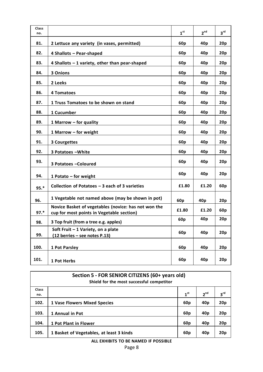| Class<br>no. |                                                                                                   | 1 <sup>st</sup> | 2 <sup>nd</sup> | 3 <sup>rd</sup> |
|--------------|---------------------------------------------------------------------------------------------------|-----------------|-----------------|-----------------|
| 81.          | 2 Lettuce any variety (in vases, permitted)                                                       | 60 <sub>p</sub> | 40 <sub>p</sub> | 20p             |
| 82.          | 4 Shallots - Pear-shaped                                                                          | 60 <sub>p</sub> | 40 <sub>p</sub> | 20p             |
| 83.          | 4 Shallots $-1$ variety, other than pear-shaped                                                   | 60p             | 40p             | 20p             |
| 84.          | 3 Onions                                                                                          | 60 <sub>p</sub> | 40 <sub>p</sub> | 20p             |
| 85.          | 2 Leeks                                                                                           | 60 <sub>p</sub> | 40 <sub>p</sub> | 20p             |
| 86.          | 4 Tomatoes                                                                                        | 60 <sub>p</sub> | 40 <sub>p</sub> | 20p             |
| 87.          | 1 Truss Tomatoes to be shown on stand                                                             | 60 <sub>p</sub> | 40 <sub>p</sub> | 20p             |
| 88.          | 1 Cucumber                                                                                        | 60 <sub>p</sub> | 40p             | 20p             |
| 89.          | 1 Marrow - for quality                                                                            | 60 <sub>p</sub> | 40 <sub>p</sub> | 20p             |
| 90.          | 1 Marrow - for weight                                                                             | 60 <sub>p</sub> | 40 <sub>p</sub> | 20p             |
| 91.          | <b>3 Courgettes</b>                                                                               | 60 <sub>p</sub> | 40 <sub>p</sub> | 20p             |
| 92.          | 3 Potatoes - White                                                                                | 60 <sub>p</sub> | 40 <sub>p</sub> | 20p             |
| 93.          | 3 Potatoes - Coloured                                                                             | 60 <sub>p</sub> | 40 <sub>p</sub> | 20p             |
| 94.          | 1 Potato - for weight                                                                             | 60 <sub>p</sub> | 40 <sub>p</sub> | 20p             |
| $95.*$       | Collection of Potatoes - 3 each of 3 varieties                                                    | £1.80           | £1.20           | 60 <sub>p</sub> |
| 96.          | 1 Vegetable not named above (may be shown in pot)                                                 | 60 <sub>p</sub> | 40 <sub>p</sub> | 20p             |
| $97.*$       | Novice Basket of vegetables (novice: has not won the<br>cup for most points in Vegetable section) | £1.80           | £1.20           | 60 <sub>p</sub> |
| 98.          | 3 Top fruit (from a tree e.g. apples)                                                             | 60p             | 40 <sub>p</sub> | 20p             |
| 99.          | Soft Fruit - 1 Variety, on a plate<br>(12 berries - see notes P.13)                               | 60p             | 40 <sub>p</sub> | 20p             |
| 100.         | 1 Pot Parsley                                                                                     | 60 <sub>p</sub> | 40 <sub>p</sub> | 20p             |
| 101.         | 1 Pot Herbs                                                                                       | 60 <sub>p</sub> | 40 <sub>p</sub> | 20p             |

|                     | Section 5 - FOR SENIOR CITIZENS (60+ years old)<br>Shield for the most successful competitor |                 |                 |                 |
|---------------------|----------------------------------------------------------------------------------------------|-----------------|-----------------|-----------------|
| <b>Class</b><br>no. |                                                                                              | 1 <sup>st</sup> | 2 <sup>nd</sup> | $3^{\text{rd}}$ |
| 102.                | <b>1 Vase Flowers Mixed Species</b>                                                          | 60p             | 40p             | 20p             |
| 103.                | 1 Annual in Pot                                                                              | 60p             | 40p             | 20p             |
| 104.                | 1 Pot Plant in Flower                                                                        | 60 <sub>p</sub> | 40p             | 20p             |
| 105.                | 1 Basket of Vegetables, at least 3 kinds                                                     | 60p             | 40p             | 20p             |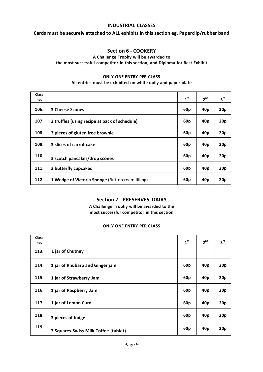#### **INDUSTRIAL CLASSES**

#### **Cards must be securely attached to ALL exhibits in this section eg. Paperclip/rubber band**

# **Section 6 - COOKERY**

#### **A Challenge Trophy will be awarded to the most successful competitor in this section, and Diploma for Best Exhibit**

#### **ONLY ONE ENTRY PER CLASS**

**All entries must be exhibited on white doily and paper plate**

| <b>Class</b><br>no. |                                                  | 1 <sup>st</sup> | 2 <sup>nd</sup> | 3 <sup>rd</sup> |
|---------------------|--------------------------------------------------|-----------------|-----------------|-----------------|
| 106.                | <b>3 Cheese Scones</b>                           | 60 <sub>p</sub> |                 | 20p             |
|                     |                                                  |                 | 40 <sub>p</sub> |                 |
| 107.                | 3 truffles (using recipe at back of schedule)    | 60p             | 40 <sub>p</sub> | 20p             |
| 108.                | 3 pieces of gluten free brownie                  | 60 <sub>p</sub> | 40 <sub>p</sub> | 20p             |
| 109.                | 3 slices of carrot cake                          | 60 <sub>p</sub> | 40 <sub>p</sub> | 20p             |
| 110.                | 3 scotch pancakes/drop scones                    | 60 <sub>p</sub> | 40p             | 20p             |
| 111.                | 3 butterfly cupcakes                             | 60 <sub>p</sub> | 40 <sub>p</sub> | 20p             |
| 112.                | 1 Wedge of Victoria Sponge (Buttercream filling) | 60 <sub>p</sub> | 40 <sub>p</sub> | 20p             |

# **Section 7 - PRESERVES, DAIRY**

**A Challenge Trophy will be awarded to the most successful competitor in this section**

#### **ONLY ONE ENTRY PER CLASS**

| <b>Class</b><br>no. |                                      | 1 <sup>st</sup> | 2 <sup>nd</sup> | $3^{\text{rd}}$ |
|---------------------|--------------------------------------|-----------------|-----------------|-----------------|
| 113.                | 1 jar of Chutney                     |                 |                 |                 |
| 114.                | 1 jar of Rhubarb and Ginger jam      | 60 <sub>p</sub> | 40p             | 20p             |
| 115.                | 1 jar of Strawberry Jam              | 60 <sub>p</sub> | 40p             | 20p             |
| 116.                | 1 jar of Raspberry Jam               | 60 <sub>p</sub> | 40p             | 20p             |
| 117.                | 1 jar of Lemon Curd                  | 60 <sub>p</sub> | 40p             | 20p             |
| 118.                | 3 pieces of fudge                    | 60 <sub>p</sub> | 40p             | 20p             |
| 119.                | 3 Squares Swiss Milk Toffee (tablet) | 60 <sub>p</sub> | 40 <sub>p</sub> | 20p             |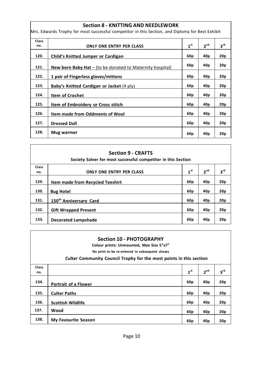#### **Section 8 - KNITTING AND NEEDLEWORK**

Mrs. Edwards Trophy for most successful competitor in this Section, and Diploma for Best Exhibit

| Class |                                                             |                 |                 |                 |
|-------|-------------------------------------------------------------|-----------------|-----------------|-----------------|
| no.   | <b>ONLY ONE ENTRY PER CLASS</b>                             | 1 <sup>st</sup> | 2 <sup>nd</sup> | 3 <sup>rd</sup> |
| 120.  | Child's Knitted Jumper or Cardigan                          | 60p             | 40 <sub>p</sub> | 20 <sub>p</sub> |
| 121.  | New born Baby Hat $-$ (to be donated to Maternity hospital) | 60p             | 40p             | 20p             |
| 122.  | 1 pair of Fingerless gloves/mittens                         | 60p             | 40 <sub>p</sub> | 20p             |
| 123.  | Baby's Knitted Cardigan or Jacket (4 ply)                   | 60p             | 40 <sub>p</sub> | 20 <sub>p</sub> |
| 124.  | <b>Item of Crochet</b>                                      | 60p             | 40 <sub>p</sub> | 20p             |
| 125.  | Item of Embroidery or Cross stitch                          | 60 <sub>p</sub> | 40 <sub>p</sub> | 20p             |
| 126.  | <b>Item made from Oddments of Wool</b>                      | 60 <sub>p</sub> | 40p             | 20p             |
| 127.  | <b>Dressed Doll</b>                                         | 60p             | 40p             | 20p             |
| 128.  | Mug warmer                                                  | 60 <sub>p</sub> | 40 <sub>p</sub> | 20p             |

| <b>Section 9 - CRAFTS</b><br>Society Salver for most successful competitor in this Section |                                         |                 |                 |                   |  |  |  |
|--------------------------------------------------------------------------------------------|-----------------------------------------|-----------------|-----------------|-------------------|--|--|--|
| <b>Class</b>                                                                               |                                         | 1 <sup>st</sup> | 2 <sup>nd</sup> | $3^{\mathsf{rd}}$ |  |  |  |
| no.                                                                                        | <b>ONLY ONE ENTRY PER CLASS</b>         |                 |                 |                   |  |  |  |
| 129.                                                                                       | <b>Item made from Recycled Teeshirt</b> | 60 <sub>p</sub> | 40 <sub>p</sub> | 20p               |  |  |  |
| 130.                                                                                       | <b>Bug Hotel</b>                        | 60 <sub>p</sub> | 40 <sub>p</sub> | 20p               |  |  |  |
| 131.                                                                                       | 150 <sup>th</sup> Anniversary Card      | 60 <sub>p</sub> | 40 <sub>p</sub> | 20p               |  |  |  |
| 132.                                                                                       | <b>Gift Wrapped Present</b>             | 60 <sub>p</sub> | 40 <sub>p</sub> | 20p               |  |  |  |
| 133.                                                                                       | <b>Decorated Lampshade</b>              | 60 <sub>p</sub> | 40p             | 20p               |  |  |  |

| <b>Section 10 - PHOTOGRAPHY</b><br>Colour prints: Unmounted, Max Size 5"x7"<br>No print to be re-entered in subsequent shows |                                                                     |                 |                 |                 |  |  |  |
|------------------------------------------------------------------------------------------------------------------------------|---------------------------------------------------------------------|-----------------|-----------------|-----------------|--|--|--|
|                                                                                                                              | Culter Community Council Trophy for the most points in this section |                 |                 |                 |  |  |  |
| <b>Class</b><br>no.                                                                                                          |                                                                     | 1 <sup>st</sup> | 2 <sup>nd</sup> | $3^{\text{rd}}$ |  |  |  |
| 134.                                                                                                                         | <b>Portrait of a Flower</b>                                         | 60 <sub>p</sub> | 40p             | 20p             |  |  |  |
| 135.                                                                                                                         | <b>Culter Paths</b>                                                 | 60 <sub>p</sub> | 40p             | 20p             |  |  |  |
| 136.                                                                                                                         | <b>Scottish Wildlife</b>                                            | 60 <sub>p</sub> | 40 <sub>p</sub> | 20p             |  |  |  |
| 137.                                                                                                                         | Wood                                                                | 60 <sub>p</sub> | 40 <sub>p</sub> | 20p             |  |  |  |
| 138.                                                                                                                         | <b>My Favourite Season</b>                                          | 60 <sub>p</sub> | 40 <sub>p</sub> | 20p             |  |  |  |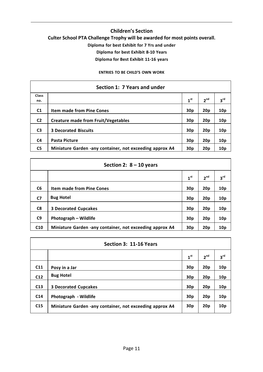# **Children's Section Culter School PTA Challenge Trophy will be awarded for most points overall. Diploma for best Exhibit for 7 Yrs and under Diploma for best Exhibit 8-10 Years Diploma for Best Exhibit 11-16 years**

**ENTRIES TO BE CHILD'S OWN WORK**

| Section 1: 7 Years and under |                                                          |                 |                 |                 |  |  |
|------------------------------|----------------------------------------------------------|-----------------|-----------------|-----------------|--|--|
| <b>Class</b>                 |                                                          |                 |                 |                 |  |  |
| no.                          |                                                          | 1 <sup>st</sup> | 2 <sup>nd</sup> | $3^{\text{rd}}$ |  |  |
| C <sub>1</sub>               | <b>Item made from Pine Cones</b>                         | 30 <sub>p</sub> | 20 <sub>p</sub> | 10 <sub>p</sub> |  |  |
| C <sub>2</sub>               | <b>Creature made from Fruit/Vegetables</b>               | 30 <sub>p</sub> | 20 <sub>p</sub> | 10 <sub>p</sub> |  |  |
| C <sub>3</sub>               | <b>3 Decorated Biscuits</b>                              | 30 <sub>p</sub> | 20 <sub>p</sub> | 10 <sub>p</sub> |  |  |
| C4                           | <b>Pasta Picture</b>                                     | 30 <sub>p</sub> | 20 <sub>p</sub> | 10 <sub>p</sub> |  |  |
| C <sub>5</sub>               | Miniature Garden -any container, not exceeding approx A4 | 30 <sub>p</sub> | 20 <sub>p</sub> | 10p             |  |  |

| Section 2: $8 - 10$ years |                                                          |                 |                 |                 |  |  |
|---------------------------|----------------------------------------------------------|-----------------|-----------------|-----------------|--|--|
|                           |                                                          | 1 <sup>st</sup> | 2 <sup>nd</sup> | 3 <sup>rd</sup> |  |  |
| C <sub>6</sub>            | <b>Item made from Pine Cones</b>                         | 30p             | 20p             | 10 <sub>p</sub> |  |  |
| C <sub>7</sub>            | <b>Bug Hotel</b>                                         | 30p             | 20p             | 10p             |  |  |
| C8                        | <b>3 Decorated Cupcakes</b>                              | 30p             | 20p             | 10 <sub>p</sub> |  |  |
| C9                        | <b>Photograph – Wildlife</b>                             | 30p             | 20p             | 10 <sub>p</sub> |  |  |
| C10                       | Miniature Garden -any container, not exceeding approx A4 | 30 <sub>p</sub> | 20p             | 10 <sub>p</sub> |  |  |

| Section 3: 11-16 Years |                                                          |                 |                 |                 |  |  |  |
|------------------------|----------------------------------------------------------|-----------------|-----------------|-----------------|--|--|--|
|                        |                                                          | 1 <sup>st</sup> | 2 <sup>nd</sup> | 3 <sup>rd</sup> |  |  |  |
| C11                    | Posy in a Jar                                            | 30p             | 20p             | 10 <sub>p</sub> |  |  |  |
| C <sub>12</sub>        | <b>Bug Hotel</b>                                         | 30p             | 20p             | 10p             |  |  |  |
| C13                    | <b>3 Decorated Cupcakes</b>                              | 30p             | 20p             | 10p             |  |  |  |
| C <sub>14</sub>        | Photograph - Wildlife                                    | 30p             | 20p             | 10p             |  |  |  |
| C <sub>15</sub>        | Miniature Garden -any container, not exceeding approx A4 | 30p             | 20 <sub>p</sub> | 10p             |  |  |  |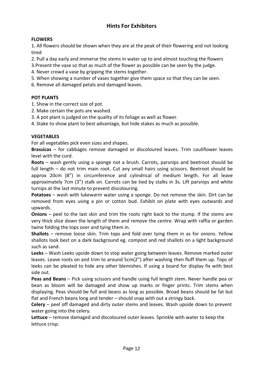# **Hints For Exhibitors**

# **FLOWERS**

1. All flowers should be shown when they are at the peak of their flowering and not looking tired

2. Pull a day early and immerse the stems in water up to and almost touching the flowers

3.Present the vase so that as much of the flower as possible can be seen by the judge.

4. Never crowd a vase by gripping the stems together.

5. When showing a number of vases together give them space so that they can be seen.

6. Remove all damaged petals and damaged leaves.

# **POT PLANTS**

1. Show in the correct size of pot.

- 2. Make certain the pots are washed.
- 3. A pot plant is judged on the quality of its foliage as well as flower.
- 4. Stake to show plant to best advantage, but hide stakes as much as possible.

# **VEGETABLES**

For all vegetables pick even sizes and shapes.

**Brassicas** – for cabbages remove damaged or discoloured leaves. Trim cauliflower leaves level with the curd.

**Roots** – wash gently using a sponge not a brush. Carrots, parsnips and beetroot should be full length – do not trim main root. Cut any small hairs using scissors. Beetroot should be approx 20cm (8") in circumference and cylindrical of medium length. For all leave approximately 7cm (3") stalk on. Carrots can be tied by stalks in 3s. Lift parsnips and white turnips at the last minute to prevent discolouring.

**Potatoes** – wash with lukewarm water using a sponge. Do not remove the skin. Dirt can be removed from eyes using a pin or cotton bud. Exhibit on plate with eyes outwards and upwards.

**Onions** – peel to the last skin and trim the roots right back to the stump. If the stems are very thick slice down the length of them and remove the centre. Wrap with raffia or garden twine folding the tops over and tying them in.

**Shallots** – remove loose skin. Trim tops and fold over tying them in as for onions. Yellow shallots look best on a dark background eg. compost and red shallots on a light background such as sand.

**Leeks** – Wash Leeks upside down to stop water going between leaves. Remove marked outer leaves. Leave roots on and trim to around 5cm(2") after washing then fluff them up. Tops of leeks can be pleated to hide any other blemishes. If using a board for display fix with best side out.

**Peas and Beans** – Pick using scissors and handle using full length stem. Never handle pea or bean as bloom will be damaged and show up marks or finger prints. Trim stems when displaying. Peas should be full and beans as long as possible. Broad beans should be fat but flat and French beans long and tender – should snap with out a stringy back.

**Celery** – peel off damaged and dirty outer stems and leaves. Wash upside down to prevent water going into the celery.

**Lettuce** – remove damaged and discoloured outer leaves. Sprinkle with water to keep the lettuce crisp.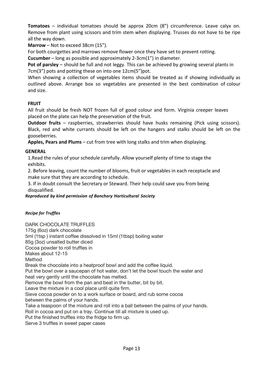**Tomatoes** – individual tomatoes should be approx 20cm (8") circumference. Leave calyx on. Remove from plant using scissors and trim stem when displaying. Trusses do not have to be ripe all the way down.

**Marrow** – Not to exceed 38cm (15").

For both courgettes and marrows remove flower once they have set to prevent rotting.

**Cucumber** – long as possible and approximately 2-3cm(1") in diameter.

**Pot of parsley** – should be full and not leggy. This can be achieved by growing several plants in 7cm(3") pots and potting these on into one 12cm(5")pot.

When showing a collection of vegetables items should be treated as if showing individually as outlined above. Arrange box so vegetables are presented in the best combination of colour and size.

# **FRUIT**

All fruit should be fresh NOT frozen full of good colour and form. Virginia creeper leaves placed on the plate can help the preservation of the fruit.

**Outdoor fruits** – raspberries, strawberries should have husks remaining (Pick using scissors). Black, red and white currants should be left on the hangers and stalks should be left on the gooseberries.

**Apples, Pears and Plums** – cut from tree with long stalks and trim when displaying.

# **GENERAL**

1.Read the rules of your schedule carefully. Allow yourself plenty of time to stage the exhibits.

2. Before leaving, count the number of blooms, fruit or vegetables in each receptacle and make sure that they are according to schedule.

3. If in doubt consult the Secretary or Steward. Their help could save you from being disqualified.

#### *Reproduced by kind permission of Banchory Horticultural Society*

# *Recipe for Truffles*

DARK CHOCOLATE TRUFFLES 175g (6oz) dark chocolate 5ml (1tsp ) instant coffee dissolved in 15ml (1tbsp) boiling water 85g (3oz) unsalted butter diced Cocoa powder to roll truffles in Makes about 12-15 Method Break the chocolate into a heatproof bowl and add the coffee liquid. Put the bowl over a saucepan of hot water, don't let the bowl touch the water and heat very gently until the chocolate has melted. Remove the bowl from the pan and beat in the butter, bit by bit. Leave the mixture in a cool place until quite firm. Sieve cocoa powder on to a work surface or board, and rub some cocoa between the palms of your hands. Take a teaspoon of the mixture and roll into a ball between the palms of your hands. Roll in cocoa and put on a tray. Continue till all mixture is used up. Put the finished truffles into the fridge to firm up. Serve 3 truffles in sweet paper cases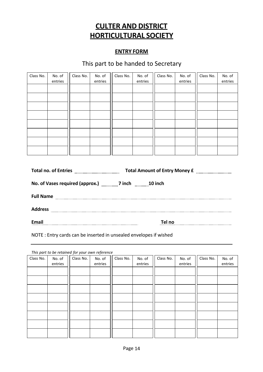# **CULTER AND DISTRICT HORTICULTURAL SOCIETY**

# **ENTRY FORM**

# This part to be handed to Secretary

| Class No. | No. of<br>entries | Class No. | No. of<br>entries | Class No. | No. of<br>entries | Class No. | No. of<br>entries | Class No. | No. of<br>entries |
|-----------|-------------------|-----------|-------------------|-----------|-------------------|-----------|-------------------|-----------|-------------------|
|           |                   |           |                   |           |                   |           |                   |           |                   |
|           |                   |           |                   |           |                   |           |                   |           |                   |
|           |                   |           |                   |           |                   |           |                   |           |                   |
|           |                   |           |                   |           |                   |           |                   |           |                   |
|           |                   |           |                   |           |                   |           |                   |           |                   |
|           |                   |           |                   |           |                   |           |                   |           |                   |
|           |                   |           |                   |           |                   |           |                   |           |                   |
|           |                   |           |                   |           |                   |           |                   |           |                   |

| No. of Vases required (approx.) 7inch 10 inch |        |  |  |  |  |  |
|-----------------------------------------------|--------|--|--|--|--|--|
|                                               |        |  |  |  |  |  |
| <b>Address</b>                                |        |  |  |  |  |  |
| Email                                         | Tel no |  |  |  |  |  |

NOTE : Entry cards can be inserted in unsealed envelopes if wished

*This part to be retained for your own reference*

| Class No. | No. of<br>entries | Class No. | No. of<br>entries | Class No. | No. of<br>entries | Class No. | No. of<br>entries | Class No. | No. of<br>entries |
|-----------|-------------------|-----------|-------------------|-----------|-------------------|-----------|-------------------|-----------|-------------------|
|           |                   |           |                   |           |                   |           |                   |           |                   |
|           |                   |           |                   |           |                   |           |                   |           |                   |
|           |                   |           |                   |           |                   |           |                   |           |                   |
|           |                   |           |                   |           |                   |           |                   |           |                   |
|           |                   |           |                   |           |                   |           |                   |           |                   |
|           |                   |           |                   |           |                   |           |                   |           |                   |
|           |                   |           |                   |           |                   |           |                   |           |                   |
|           |                   |           |                   |           |                   |           |                   |           |                   |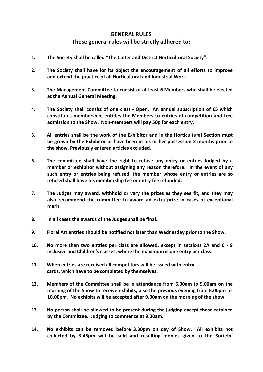# **GENERAL RULES**

# **These general rules will be strictly adhered to:**

- **1. The Society shall be called "The Culter and District Horticultural Society".**
- **2. The Society shall have for its object the encouragement of all efforts to improve and extend the practice of all Horticultural and Industrial Work.**
- **3. The Management Committee to consist of at least 6 Members who shall be elected at the Annual General Meeting.**
- **4. The Society shall consist of one class - Open. An annual subscription of £5 which constitutes membership, entitles the Members to entries of competition and free admission to the Show. Non-members will pay 50p for each entry.**
- **5. All entries shall be the work of the Exhibitor and in the Horticultural Section must be grown by the Exhibitor or have been in his or her possession 2 months prior to the show. Previously entered articles excluded.**
- **6. The committee shall have the right to refuse any entry or entries lodged by a member or exhibitor without assigning any reason therefore. In the event of any such entry or entries being refused, the member whose entry or entries are so refused shall have his membership fee or entry fee refunded.**
- **7. The Judges may award, withhold or vary the prizes as they see fit, and they may also recommend the committee to award an extra prize in cases of exceptional merit.**
- **8. In all cases the awards of the Judges shall be final.**
- **9. Floral Art entries should be notified not later than Wednesday prior to the Show.**
- **10. No more than two entries per class are allowed, except in sections 2A and 6 - 9 inclusive and Children's classes, where the maximum is one entry per class.**
- **11. When entries are received all competitors will be issued with entry cards, which have to be completed by themselves.**
- **12. Members of the Committee shall be in attendance from 6.30am to 9.00am on the morning of the Show to receive exhibits, also the previous evening from 6.00pm to 10.00pm. No exhibits will be accepted after 9.00am on the morning of the show.**
- **13. No person shall be allowed to be present during the judging except those retained by the Committee. Judging to commence at 9.30am.**
- **14. No exhibits can be removed before 3.30pm on day of Show. All exhibits not collected by 3.45pm will be sold and resulting monies given to the Society.**